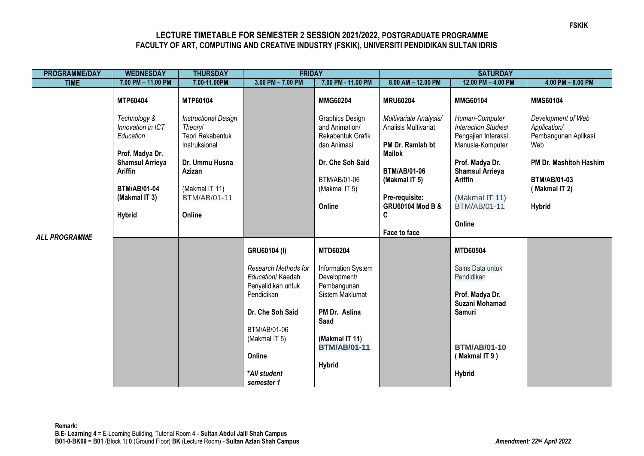## **LECTURE TIMETABLE FOR SEMESTER 2 SESSION 2021/2022, POSTGRADUATE PROGRAMME FACULTY OF ART, COMPUTING AND CREATIVE INDUSTRY (FSKIK), UNIVERSITI PENDIDIKAN SULTAN IDRIS**

| <b>PROGRAMME/DAY</b> | <b>WEDNESDAY</b>                                                  | <b>THURSDAY</b>                                                                    | <b>FRIDAY</b>                                                   |                                                                       | <b>SATURDAY</b>                                                                     |                                                                                          |                                                                   |
|----------------------|-------------------------------------------------------------------|------------------------------------------------------------------------------------|-----------------------------------------------------------------|-----------------------------------------------------------------------|-------------------------------------------------------------------------------------|------------------------------------------------------------------------------------------|-------------------------------------------------------------------|
| <b>TIME</b>          | 7.00 PM - 11.00 PM                                                | 7.00-11.00PM                                                                       | $3.00$ PM $- 7.00$ PM                                           | 7.00 PM - 11.00 PM                                                    | 8.00 AM - 12.00 PM                                                                  | 12.00 PM $-$ 4.00 PM                                                                     | $4.00$ PM $- 8.00$ PM                                             |
| <b>ALL PROGRAMME</b> | MTP60404                                                          | MTP60104                                                                           |                                                                 | <b>MMG60204</b>                                                       | <b>MRU60204</b>                                                                     | <b>MMG60104</b>                                                                          | <b>MMS60104</b>                                                   |
|                      | Technology &<br>Innovation in ICT<br>Education<br>Prof. Madya Dr. | <b>Instructional Design</b><br><b>Theory/</b><br>Teori Rekabentuk<br>Instruksional |                                                                 | Graphics Design<br>and Animation/<br>Rekabentuk Grafik<br>dan Animasi | Multivariate Analysis/<br>Analisis Multivariat<br>PM Dr. Ramlah bt<br><b>Mailok</b> | Human-Computer<br><b>Interaction Studies/</b><br>Pengajian Interaksi<br>Manusia-Komputer | Development of Web<br>Application/<br>Pembangunan Aplikasi<br>Web |
|                      | <b>Shamsul Arrieya</b><br>Ariffin                                 | Dr. Ummu Husna<br>Azizan                                                           |                                                                 | Dr. Che Soh Said<br>BTM/AB/01-06                                      | <b>BTM/AB/01-06</b><br>(Makmal IT 5)                                                | Prof. Madya Dr.<br><b>Shamsul Arrieya</b><br><b>Ariffin</b>                              | PM Dr. Mashitoh Hashim<br><b>BTM/AB/01-03</b>                     |
|                      | <b>BTM/AB/01-04</b><br>(Makmal IT 3)                              | (Makmal IT 11)<br><b>BTM/AB/01-11</b>                                              |                                                                 | (Makmal IT 5)<br>Online                                               | Pre-requisite:<br><b>GRU60104 Mod B &amp;</b>                                       | (Makmal IT 11)<br><b>BTM/AB/01-11</b>                                                    | (Makmal IT 2)<br><b>Hybrid</b>                                    |
|                      | <b>Hybrid</b>                                                     | Online                                                                             |                                                                 |                                                                       | C<br>Face to face                                                                   | Online                                                                                   |                                                                   |
|                      |                                                                   |                                                                                    | GRU60104 (I)                                                    | <b>MTD60204</b>                                                       |                                                                                     | <b>MTD60504</b>                                                                          |                                                                   |
|                      |                                                                   |                                                                                    | Research Methods for<br>Education/ Kaedah<br>Penyelidikan untuk | Information System<br>Development/<br>Pembangunan                     |                                                                                     | Sains Data untuk<br>Pendidikan                                                           |                                                                   |
|                      |                                                                   |                                                                                    | Pendidikan                                                      | Sistem Maklumat                                                       |                                                                                     | Prof. Madya Dr.<br>Suzani Mohamad                                                        |                                                                   |
|                      |                                                                   |                                                                                    | Dr. Che Soh Said<br>BTM/AB/01-06                                | PM Dr. Aslina<br>Saad                                                 |                                                                                     | Samuri                                                                                   |                                                                   |
|                      |                                                                   |                                                                                    | (Makmal IT 5)                                                   | (Makmal IT 11)<br><b>BTM/AB/01-11</b>                                 |                                                                                     | <b>BTM/AB/01-10</b>                                                                      |                                                                   |
|                      |                                                                   |                                                                                    | Online                                                          | <b>Hybrid</b>                                                         |                                                                                     | (Makmal IT 9)                                                                            |                                                                   |
|                      |                                                                   |                                                                                    | *All student<br>semester 1                                      |                                                                       |                                                                                     | <b>Hybrid</b>                                                                            |                                                                   |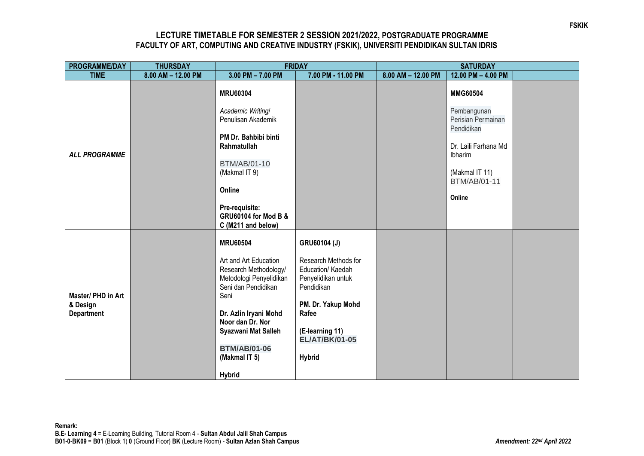## **LECTURE TIMETABLE FOR SEMESTER 2 SESSION 2021/2022, POSTGRADUATE PROGRAMME FACULTY OF ART, COMPUTING AND CREATIVE INDUSTRY (FSKIK), UNIVERSITI PENDIDIKAN SULTAN IDRIS**

| PROGRAMME/DAY                                       | <b>THURSDAY</b>    | <b>FRIDAY</b>                                                                                            |                                                                               | <b>SATURDAY</b>    |                                                 |  |
|-----------------------------------------------------|--------------------|----------------------------------------------------------------------------------------------------------|-------------------------------------------------------------------------------|--------------------|-------------------------------------------------|--|
| <b>TIME</b>                                         | 8.00 AM - 12.00 PM | $3.00$ PM $- 7.00$ PM                                                                                    | 7.00 PM - 11.00 PM                                                            | 8.00 AM - 12.00 PM | 12.00 PM - 4.00 PM                              |  |
| <b>ALL PROGRAMME</b>                                |                    | <b>MRU60304</b>                                                                                          |                                                                               |                    | <b>MMG60504</b>                                 |  |
|                                                     |                    | Academic Writing/<br>Penulisan Akademik                                                                  |                                                                               |                    | Pembangunan<br>Perisian Permainan<br>Pendidikan |  |
|                                                     |                    | PM Dr. Bahbibi binti<br>Rahmatullah                                                                      |                                                                               |                    | Dr. Laili Farhana Md<br>Ibharim                 |  |
|                                                     |                    | <b>BTM/AB/01-10</b><br>(Makmal IT 9)                                                                     |                                                                               |                    | (Makmal IT 11)<br><b>BTM/AB/01-11</b>           |  |
|                                                     |                    | Online<br>Pre-requisite:                                                                                 |                                                                               |                    | Online                                          |  |
|                                                     |                    | <b>GRU60104 for Mod B &amp;</b><br>C (M211 and below)                                                    |                                                                               |                    |                                                 |  |
| Master/ PHD in Art<br>& Design<br><b>Department</b> |                    | <b>MRU60504</b>                                                                                          | GRU60104 (J)                                                                  |                    |                                                 |  |
|                                                     |                    | Art and Art Education<br>Research Methodology/<br>Metodologi Penyelidikan<br>Seni dan Pendidikan<br>Seni | Research Methods for<br>Education/ Kaedah<br>Penyelidikan untuk<br>Pendidikan |                    |                                                 |  |
|                                                     |                    | Dr. Azlin Iryani Mohd<br>Noor dan Dr. Nor                                                                | PM. Dr. Yakup Mohd<br>Rafee                                                   |                    |                                                 |  |
|                                                     |                    | Syazwani Mat Salleh<br><b>BTM/AB/01-06</b>                                                               | (E-learning 11)<br><b>EL/AT/BK/01-05</b>                                      |                    |                                                 |  |
|                                                     |                    | (Makmal IT 5)<br><b>Hybrid</b>                                                                           | <b>Hybrid</b>                                                                 |                    |                                                 |  |